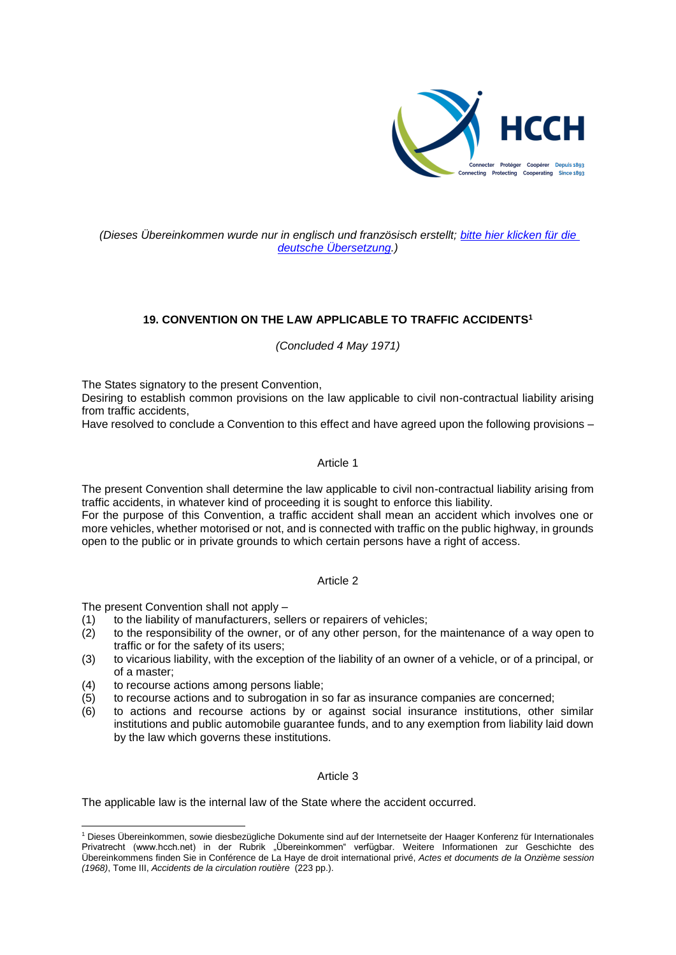

## *(Dieses Übereinkommen wurde nur in englisch und französisch erstellt; [bitte hier klicken für die](http://www.hcch.net/upload/text19d.pdf)  [deutsche Übersetzung.](http://www.hcch.net/upload/text19d.pdf))*

# **19. CONVENTION ON THE LAW APPLICABLE TO TRAFFIC ACCIDENTS<sup>1</sup>**

*(Concluded 4 May 1971)* 

The States signatory to the present Convention,

Desiring to establish common provisions on the law applicable to civil non-contractual liability arising from traffic accidents,

Have resolved to conclude a Convention to this effect and have agreed upon the following provisions –

Article 1

The present Convention shall determine the law applicable to civil non-contractual liability arising from traffic accidents, in whatever kind of proceeding it is sought to enforce this liability.

For the purpose of this Convention, a traffic accident shall mean an accident which involves one or more vehicles, whether motorised or not, and is connected with traffic on the public highway, in grounds open to the public or in private grounds to which certain persons have a right of access.

## Article 2

The present Convention shall not apply –

- (1) to the liability of manufacturers, sellers or repairers of vehicles;
- (2) to the responsibility of the owner, or of any other person, for the maintenance of a way open to traffic or for the safety of its users;
- (3) to vicarious liability, with the exception of the liability of an owner of a vehicle, or of a principal, or of a master;
- (4) to recourse actions among persons liable;
- (5) to recourse actions and to subrogation in so far as insurance companies are concerned;
- (6) to actions and recourse actions by or against social insurance institutions, other similar institutions and public automobile guarantee funds, and to any exemption from liability laid down by the law which governs these institutions.

## Article 3

The applicable law is the internal law of the State where the accident occurred.

<sup>1</sup> Dieses Übereinkommen, sowie diesbezügliche Dokumente sind auf der Internetseite der Haager Konferenz für Internationales Privatrecht (www.hcch.net) in der Rubrik "Übereinkommen" verfügbar. Weitere Informationen zur Geschichte des Übereinkommens finden Sie in Conférence de La Haye de droit international privé, *Actes et documents de la Onzième session (1968)*, Tome III, *Accidents de la circulation routière* (223 pp.).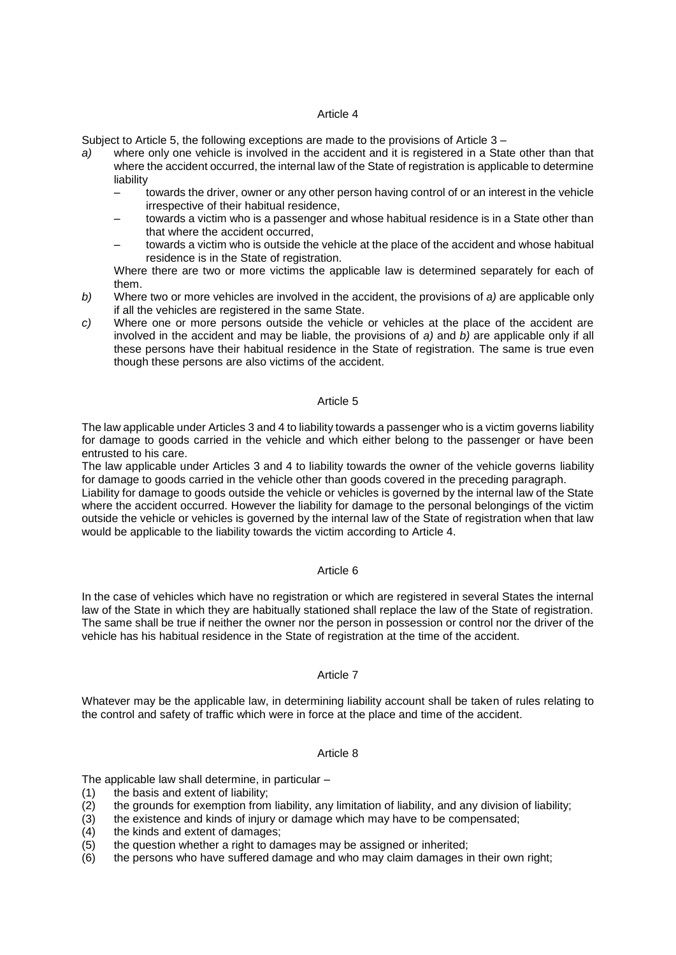#### Article 4

Subject to Article 5, the following exceptions are made to the provisions of Article 3 –

- *a)* where only one vehicle is involved in the accident and it is registered in a State other than that where the accident occurred, the internal law of the State of registration is applicable to determine liability
	- towards the driver, owner or any other person having control of or an interest in the vehicle irrespective of their habitual residence,
	- towards a victim who is a passenger and whose habitual residence is in a State other than that where the accident occurred,
	- towards a victim who is outside the vehicle at the place of the accident and whose habitual residence is in the State of registration.

Where there are two or more victims the applicable law is determined separately for each of them.

- *b)* Where two or more vehicles are involved in the accident, the provisions of *a)* are applicable only if all the vehicles are registered in the same State.
- *c)* Where one or more persons outside the vehicle or vehicles at the place of the accident are involved in the accident and may be liable, the provisions of *a)* and *b)* are applicable only if all these persons have their habitual residence in the State of registration. The same is true even though these persons are also victims of the accident.

#### Article 5

The law applicable under Articles 3 and 4 to liability towards a passenger who is a victim governs liability for damage to goods carried in the vehicle and which either belong to the passenger or have been entrusted to his care.

The law applicable under Articles 3 and 4 to liability towards the owner of the vehicle governs liability for damage to goods carried in the vehicle other than goods covered in the preceding paragraph.

Liability for damage to goods outside the vehicle or vehicles is governed by the internal law of the State where the accident occurred. However the liability for damage to the personal belongings of the victim outside the vehicle or vehicles is governed by the internal law of the State of registration when that law would be applicable to the liability towards the victim according to Article 4.

### Article 6

In the case of vehicles which have no registration or which are registered in several States the internal law of the State in which they are habitually stationed shall replace the law of the State of registration. The same shall be true if neither the owner nor the person in possession or control nor the driver of the vehicle has his habitual residence in the State of registration at the time of the accident.

### Article 7

Whatever may be the applicable law, in determining liability account shall be taken of rules relating to the control and safety of traffic which were in force at the place and time of the accident.

### Article 8

The applicable law shall determine, in particular –

- (1) the basis and extent of liability;
- (2) the grounds for exemption from liability, any limitation of liability, and any division of liability;
- (3) the existence and kinds of injury or damage which may have to be compensated;
- (4) the kinds and extent of damages;
- (5) the question whether a right to damages may be assigned or inherited;
- (6) the persons who have suffered damage and who may claim damages in their own right;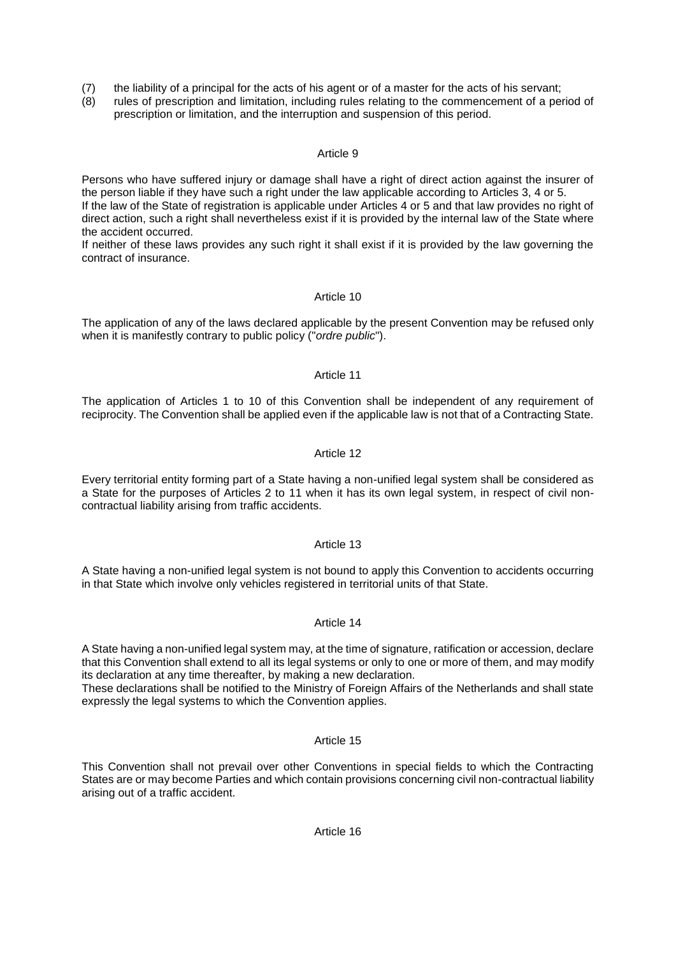(7) the liability of a principal for the acts of his agent or of a master for the acts of his servant;

(8) rules of prescription and limitation, including rules relating to the commencement of a period of prescription or limitation, and the interruption and suspension of this period.

## Article 9

Persons who have suffered injury or damage shall have a right of direct action against the insurer of the person liable if they have such a right under the law applicable according to Articles 3, 4 or 5. If the law of the State of registration is applicable under Articles 4 or 5 and that law provides no right of direct action, such a right shall nevertheless exist if it is provided by the internal law of the State where the accident occurred.

If neither of these laws provides any such right it shall exist if it is provided by the law governing the contract of insurance.

### Article 10

The application of any of the laws declared applicable by the present Convention may be refused only when it is manifestly contrary to public policy ("*ordre public*").

### Article 11

The application of Articles 1 to 10 of this Convention shall be independent of any requirement of reciprocity. The Convention shall be applied even if the applicable law is not that of a Contracting State.

## Article 12

Every territorial entity forming part of a State having a non-unified legal system shall be considered as a State for the purposes of Articles 2 to 11 when it has its own legal system, in respect of civil noncontractual liability arising from traffic accidents.

### Article 13

A State having a non-unified legal system is not bound to apply this Convention to accidents occurring in that State which involve only vehicles registered in territorial units of that State.

### Article 14

A State having a non-unified legal system may, at the time of signature, ratification or accession, declare that this Convention shall extend to all its legal systems or only to one or more of them, and may modify its declaration at any time thereafter, by making a new declaration.

These declarations shall be notified to the Ministry of Foreign Affairs of the Netherlands and shall state expressly the legal systems to which the Convention applies.

## Article 15

This Convention shall not prevail over other Conventions in special fields to which the Contracting States are or may become Parties and which contain provisions concerning civil non-contractual liability arising out of a traffic accident.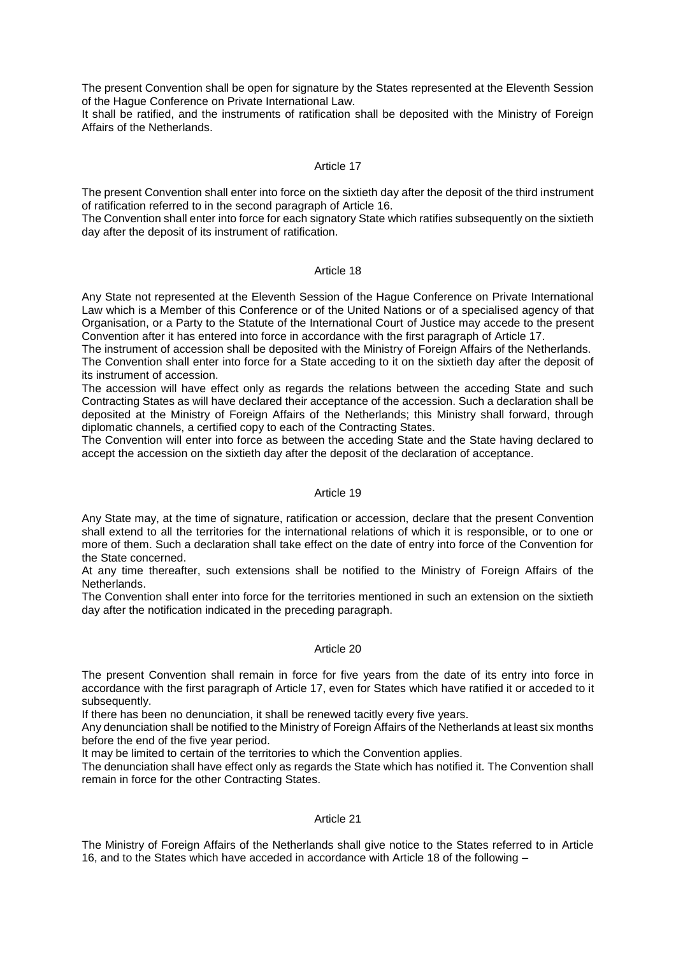The present Convention shall be open for signature by the States represented at the Eleventh Session of the Hague Conference on Private International Law.

It shall be ratified, and the instruments of ratification shall be deposited with the Ministry of Foreign Affairs of the Netherlands.

#### Article 17

The present Convention shall enter into force on the sixtieth day after the deposit of the third instrument of ratification referred to in the second paragraph of Article 16.

The Convention shall enter into force for each signatory State which ratifies subsequently on the sixtieth day after the deposit of its instrument of ratification.

#### Article 18

Any State not represented at the Eleventh Session of the Hague Conference on Private International Law which is a Member of this Conference or of the United Nations or of a specialised agency of that Organisation, or a Party to the Statute of the International Court of Justice may accede to the present Convention after it has entered into force in accordance with the first paragraph of Article 17.

The instrument of accession shall be deposited with the Ministry of Foreign Affairs of the Netherlands. The Convention shall enter into force for a State acceding to it on the sixtieth day after the deposit of its instrument of accession.

The accession will have effect only as regards the relations between the acceding State and such Contracting States as will have declared their acceptance of the accession. Such a declaration shall be deposited at the Ministry of Foreign Affairs of the Netherlands; this Ministry shall forward, through diplomatic channels, a certified copy to each of the Contracting States.

The Convention will enter into force as between the acceding State and the State having declared to accept the accession on the sixtieth day after the deposit of the declaration of acceptance.

#### Article 19

Any State may, at the time of signature, ratification or accession, declare that the present Convention shall extend to all the territories for the international relations of which it is responsible, or to one or more of them. Such a declaration shall take effect on the date of entry into force of the Convention for the State concerned.

At any time thereafter, such extensions shall be notified to the Ministry of Foreign Affairs of the **Netherlands** 

The Convention shall enter into force for the territories mentioned in such an extension on the sixtieth day after the notification indicated in the preceding paragraph.

#### Article 20

The present Convention shall remain in force for five years from the date of its entry into force in accordance with the first paragraph of Article 17, even for States which have ratified it or acceded to it subsequently.

If there has been no denunciation, it shall be renewed tacitly every five years.

Any denunciation shall be notified to the Ministry of Foreign Affairs of the Netherlands at least six months before the end of the five year period.

It may be limited to certain of the territories to which the Convention applies.

The denunciation shall have effect only as regards the State which has notified it. The Convention shall remain in force for the other Contracting States.

#### Article 21

The Ministry of Foreign Affairs of the Netherlands shall give notice to the States referred to in Article 16, and to the States which have acceded in accordance with Article 18 of the following –